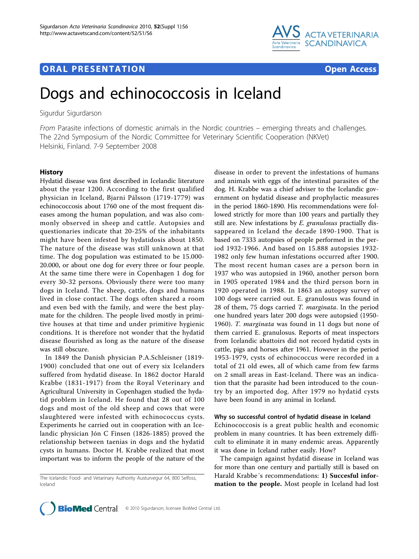

## **ORAL PRESENTATION OPEN ACCESS**

# Dogs and echinococcosis in Iceland

Sigurdur Sigurdarson

From Parasite infections of domestic animals in the Nordic countries – emerging threats and challenges. The 22nd Symposium of the Nordic Committee for Veterinary Scientific Cooperation (NKVet) Helsinki, Finland. 7-9 September 2008

### History

Hydatid disease was first described in Icelandic literature about the year 1200. According to the first qualified physician in Iceland, Bjarni Pálsson (1719-1779) was echinococcosis about 1760 one of the most frequent diseases among the human population, and was also commonly observed in sheep and cattle. Autopsies and questionaries indicate that 20-25% of the inhabitants might have been infested by hydatidosis about 1850. The nature of the disease was still unknown at that time. The dog population was estimated to be 15.000- 20.000, or about one dog for every three or four people. At the same time there were in Copenhagen 1 dog for every 30-32 persons. Obviously there were too many dogs in Iceland. The sheep, cattle, dogs and humans lived in close contact. The dogs often shared a room and even bed with the family, and were the best playmate for the children. The people lived mostly in primitive houses at that time and under primitive hygienic conditions. It is therefore not wonder that the hydatid disease flourished as long as the nature of the disease was still obscure.

In 1849 the Danish physician P.A.Schleisner (1819- 1900) concluded that one out of every six Icelanders suffered from hydatid disease. In 1862 doctor Harald Krabbe (1831-1917) from the Royal Veterinary and Agricultural University in Copenhagen studied the hydatid problem in Iceland. He found that 28 out of 100 dogs and most of the old sheep and cows that were slaughtered were infested with echinococcus cysts. Experiments he carried out in cooperation with an Icelandic physician Jón C Finsen (1826-1885) proved the relationship between taenias in dogs and the hydatid cysts in humans. Doctor H. Krabbe realized that most important was to inform the people of the nature of the

The Icelandic Food- and Vetarinary Authority Austurvegur 64, 800 Selfoss, Iceland

disease in order to prevent the infestations of humans and animals with eggs of the intestinal parasites of the dog. H. Krabbe was a chief adviser to the Icelandic government on hydatid disease and prophylactic measures in the period 1860-1890. His recommendations were followed strictly for more than 100 years and partially they still are. New infestations by E. granulosus practially dissappeared in Iceland the decade 1890-1900. That is based on 7333 autopsies of people performed in the period 1932-1966. And based on 15.888 autopsies 1932- 1982 only few human infestations occurred after 1900. The most recent human cases are a person born in 1937 who was autopsied in 1960, another person born in 1905 operated 1984 and the third person born in 1920 operated in 1988. In 1863 an autopsy survey of 100 dogs were carried out. E. granulosus was found in 28 of them, 75 dogs carried T. marginata. In the period one hundred years later 200 dogs were autopsied (1950- 1960). T. marginata was found in 11 dogs but none of them carried E. granulosus. Reports of meat inspectors from Icelandic abattoirs did not record hydatid cysts in cattle, pigs and horses after 1961. However in the period 1953-1979, cysts of echinococcus were recorded in a total of 21 old ewes, all of which came from few farms on 2 small areas in East-Iceland. There was an indication that the parasite had been introduced to the country by an imported dog. After 1979 no hydatid cysts have been found in any animal in Iceland.

#### Why so successful control of hydatid disease in Iceland

Echinococcosis is a great public health and economic problem in many countries. It has been extremely difficult to eliminate it in many endemic areas. Apparently it was done in Iceland rather easily. How?

The campaign against hydatid disease in Iceland was for more than one century and partially still is based on Harald Krabbe´s recommendations: 1) Succesful information to the people. Most people in Iceland had lost